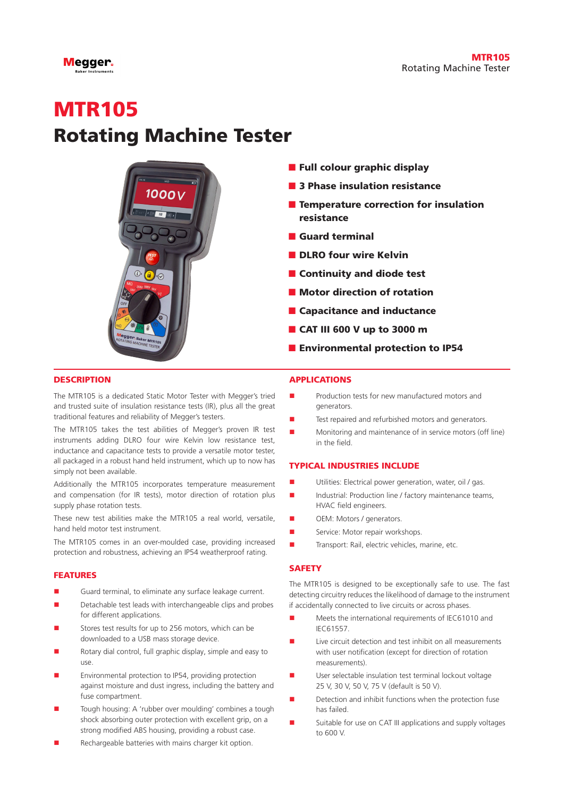

# **MTR105** Rotating Machine Tester



- Full colour graphic display
- 3 Phase insulation resistance
- Temperature correction for insulation resistance
- Guard terminal
- DLRO four wire Kelvin
- Continuity and diode test
- Motor direction of rotation
- Capacitance and inductance
- CAT III 600 V up to 3000 m
- Environmental protection to IP54

#### **DESCRIPTION**

The MTR105 is a dedicated Static Motor Tester with Megger's tried and trusted suite of insulation resistance tests (IR), plus all the great traditional features and reliability of Megger's testers.

The MTR105 takes the test abilities of Megger's proven IR test instruments adding DLRO four wire Kelvin low resistance test, inductance and capacitance tests to provide a versatile motor tester, all packaged in a robust hand held instrument, which up to now has simply not been available.

Additionally the MTR105 incorporates temperature measurement and compensation (for IR tests), motor direction of rotation plus supply phase rotation tests.

These new test abilities make the MTR105 a real world, versatile, hand held motor test instrument.

The MTR105 comes in an over-moulded case, providing increased protection and robustness, achieving an IP54 weatherproof rating.

#### FEATURES

- Guard terminal, to eliminate any surface leakage current.
- Detachable test leads with interchangeable clips and probes for different applications.
- Stores test results for up to 256 motors, which can be downloaded to a USB mass storage device.
- Rotary dial control, full graphic display, simple and easy to use.
- Environmental protection to IP54, providing protection against moisture and dust ingress, including the battery and fuse compartment.
- Tough housing: A 'rubber over moulding' combines a tough shock absorbing outer protection with excellent grip, on a strong modified ABS housing, providing a robust case.
- Rechargeable batteries with mains charger kit option.

#### APPLICATIONS

- Production tests for new manufactured motors and generators.
- Test repaired and refurbished motors and generators.
- Monitoring and maintenance of in service motors (off line) in the field.

#### TYPICAL INDUSTRIES INCLUDE

- n Utilities: Electrical power generation, water, oil / gas.
- $\blacksquare$  Industrial: Production line / factory maintenance teams, HVAC field engineers.
- **n** OEM: Motors / generators.
- Service: Motor repair workshops.
- Transport: Rail, electric vehicles, marine, etc.

#### **SAFFTY**

The MTR105 is designed to be exceptionally safe to use. The fast detecting circuitry reduces the likelihood of damage to the instrument if accidentally connected to live circuits or across phases.

- Meets the international requirements of IEC61010 and IEC61557.
- Live circuit detection and test inhibit on all measurements with user notification (except for direction of rotation measurements).
- User selectable insulation test terminal lockout voltage 25 V, 30 V, 50 V, 75 V (default is 50 V).
- Detection and inhibit functions when the protection fuse has failed.
- Suitable for use on CAT III applications and supply voltages to 600 V.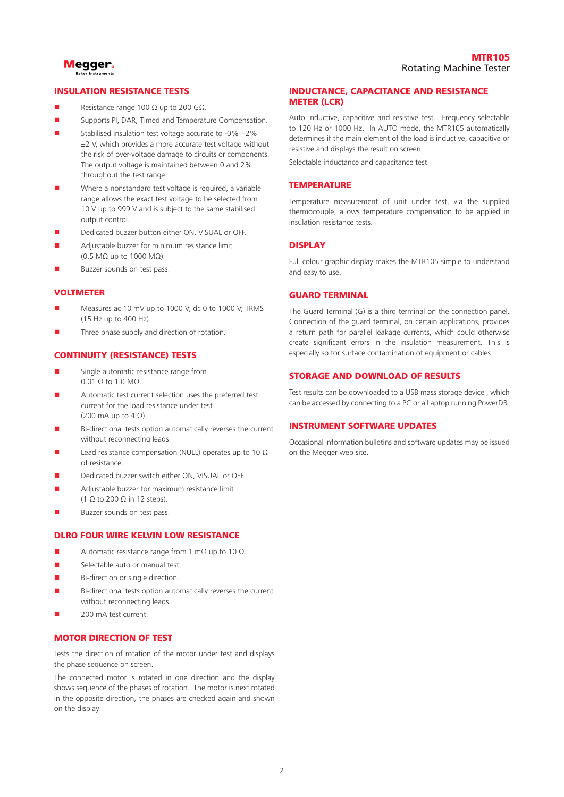

#### INSULATION RESISTANCE TESTS

- Resistance range 100  $Ω$  up to 200  $GΩ$ .
- Supports PI, DAR, Timed and Temperature Compensation.
- Stabilised insulation test voltage accurate to -0% +2% ±2 V, which provides a more accurate test voltage without the risk of over-voltage damage to circuits or components. The output voltage is maintained between 0 and 2% throughout the test range.
- Where a nonstandard test voltage is required, a variable range allows the exact test voltage to be selected from 10 V up to 999 V and is subject to the same stabilised output control.
- Dedicated buzzer button either ON, VISUAL or OFF.
- Adjustable buzzer for minimum resistance limit (0.5 MΩ up to 1000 MΩ).
- Buzzer sounds on test pass.

#### VOLTMETER

- Measures ac 10 mV up to 1000 V; dc 0 to 1000 V; TRMS (15 Hz up to 400 Hz).
- Three phase supply and direction of rotation.

#### CONTINUITY (RESISTANCE) TESTS

- Single automatic resistance range from 0.01 Ω to 1.0 MΩ.
- Automatic test current selection uses the preferred test current for the load resistance under test (200 mA up to  $4 \Omega$ ).
- Bi-directional tests option automatically reverses the current without reconnecting leads.
- Lead resistance compensation (NULL) operates up to 10 Ω of resistance.
- Dedicated buzzer switch either ON, VISUAL or OFF.
- Adjustable buzzer for maximum resistance limit (1  $\Omega$  to 200  $\Omega$  in 12 steps).
- Buzzer sounds on test pass.

#### DLRO FOUR WIRE KELVIN LOW RESISTANCE

- $\blacksquare$  Automatic resistance range from 1 mΩ up to 10 Ω.
- Selectable auto or manual test.
- Bi-direction or single direction.
- Bi-directional tests option automatically reverses the current without reconnecting leads.
- 200 mA test current.

#### MOTOR DIRECTION OF TEST

Tests the direction of rotation of the motor under test and displays the phase sequence on screen.

The connected motor is rotated in one direction and the display shows sequence of the phases of rotation. The motor is next rotated in the opposite direction, the phases are checked again and shown on the display.

#### INDUCTANCE, CAPACITANCE AND RESISTANCE METER (LCR)

Auto inductive, capacitive and resistive test. Frequency selectable to 120 Hz or 1000 Hz. In AUTO mode, the MTR105 automatically determines if the main element of the load is inductive, capacitive or resistive and displays the result on screen.

Selectable inductance and capacitance test.

#### **TEMPERATURE**

Temperature measurement of unit under test, via the supplied thermocouple, allows temperature compensation to be applied in insulation resistance tests.

#### **DISPLAY**

Full colour graphic display makes the MTR105 simple to understand and easy to use.

#### GUARD TERMINAL

The Guard Terminal (G) is a third terminal on the connection panel. Connection of the guard terminal, on certain applications, provides a return path for parallel leakage currents, which could otherwise create significant errors in the insulation measurement. This is especially so for surface contamination of equipment or cables.

#### STORAGE AND DOWNLOAD OF RESULTS

Test results can be downloaded to a USB mass storage device , which can be accessed by connecting to a PC or a Laptop running PowerDB.

#### INSTRUMENT SOFTWARE UPDATES

Occasional information bulletins and software updates may be issued on the Megger web site.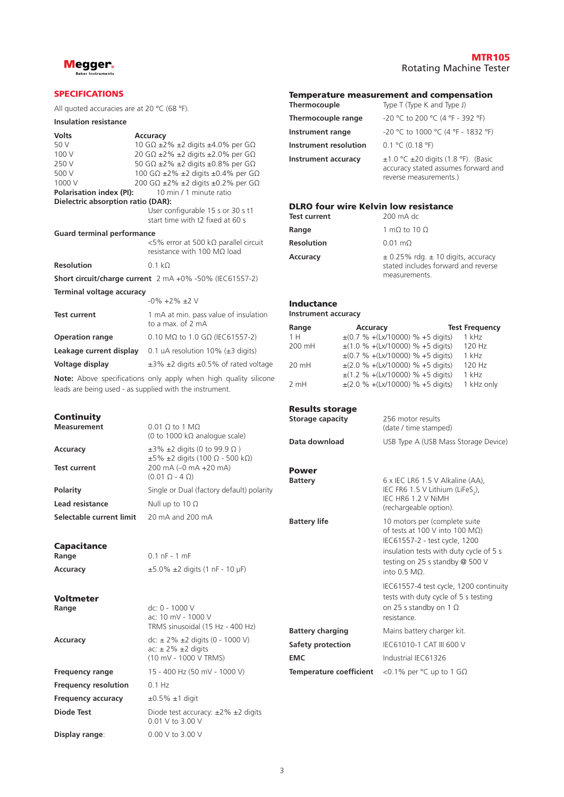

#### SPECIFICATIONS

All quoted accuracies are at 20 °C (68 °F).

#### **Insulation resistance**

| <b>Volts</b>                              | Accuracy                                                                    |
|-------------------------------------------|-----------------------------------------------------------------------------|
| 50 V                                      | 10 G $\Omega$ ±2% ±2 digits ±4.0% per G $\Omega$                            |
| 100 V                                     | 20 GΩ ±2% ±2 digits ±2.0% per GΩ                                            |
| 250 V                                     | 50 G $\Omega$ ±2% ±2 digits ±0.8% per G $\Omega$                            |
| 500 V                                     | 100 G $\Omega$ ±2% ±2 digits ±0.4% per G $\Omega$                           |
| 1000 V                                    | 200 GΩ ±2% ±2 digits ±0.2% per GΩ                                           |
| Polarisation index (PI):                  | 10 min / 1 minute ratio                                                     |
| <b>Dielectric absorption ratio (DAR):</b> |                                                                             |
|                                           | User configurable 15 s or 30 s t1                                           |
|                                           | start time with t2 fixed at 60 s                                            |
| <b>Guard terminal performance</b>         |                                                                             |
|                                           | <5% error at 500 kΩ parallel circuit<br>resistance with 100 MQ load         |
| <b>Resolution</b>                         | $0.1 \text{ k}\Omega$                                                       |
|                                           | <b>Short circuit/charge current</b> $2 \text{ mA } +0\% -50\%$ (IEC61557-2) |
| Terminal voltage accuracy                 |                                                                             |
|                                           | $-0\% +2\% +2$ V                                                            |
| <b>Test current</b>                       | 1 mA at min. pass value of insulation<br>to a max. of 2 mA                  |
| <b>Operation range</b>                    | 0.10 MΩ to 1.0 GΩ (IEC61557-2)                                              |

**Leakage current display** 0.1 uA resolution 10% (±3 digits) **Voltage display** ±3% ±2 digits ±0.5% of rated voltage

**Note:** Above specifications only apply when high quality silicone leads are being used - as supplied with the instrument.

| $0.01$ Q to 1 MQ<br>(0 to 1000 k $\Omega$ analogue scale)                                                  |
|------------------------------------------------------------------------------------------------------------|
| $\pm$ 3% $\pm$ 2 digits (0 to 99.9 $\Omega$ )<br>$\pm 5\%$ $\pm 2$ digits (100 $\Omega$ - 500 k $\Omega$ ) |
| 200 mA (-0 mA +20 mA)<br>$(0.01 \Omega - 4 \Omega)$                                                        |
| Single or Dual (factory default) polarity                                                                  |
| Null up to 10 $\Omega$                                                                                     |
| 20 mA and 200 mA                                                                                           |
|                                                                                                            |

## Capacitance<br>Range

### **Voltmeter**<br>Range

|                             | <b>TRMS</b> sinusoidal                                                                   |
|-----------------------------|------------------------------------------------------------------------------------------|
| Accuracy                    | dc: $\pm 2\% \pm 2$ dic<br>$ac: \pm 2\% \pm 2$ dic<br>$(10 \text{ mV} - 1000 \text{ V})$ |
| <b>Frequency range</b>      | 15 - 400 Hz (50                                                                          |
| <b>Frequency resolution</b> | $0.1$ Hz                                                                                 |
| <b>Frequency accuracy</b>   | $\pm 0.5\% \pm 1$ digit                                                                  |
| <b>Diode Test</b>           | Diode test accur<br>0.01 V to 3.00 \                                                     |
| Del anotario de la marco    | $0.00111 - 2.001$                                                                        |

### **Range** 0.1 nF - 1 mF **Accuracy** ±5.0% ±2 digits (1 nF - 10 μF)

**Range** dc: 0 - 1000 V ac: 10 mV - 1000 V  $\frac{1}{15}$  sinusoidal (15 Hz - 400 Hz) **Accuracy** dc: ± 2% ±2 digits (0 - 1000 V)  $2\% \pm 2$  digits  $\frac{1}{2}$  / $\frac{1}{2}$  angles  $\frac{1}{2}$  TRMS) **Frequency range** 15 - 400 Hz (50 mV - 1000 V) **Diode Test Diode** test accuracy:  $\pm 2\% \pm 2$  digits 0.01 V to 3.00 V **Display range**: 0.00 V to 3.00 V

#### MTR105 Rotating Machine Tester

#### Temperature measurement and compensation

| Thermocouple               | Type T (Type K and Type J)                                                                                     |
|----------------------------|----------------------------------------------------------------------------------------------------------------|
| Thermocouple range         | -20 °C to 200 °C (4 °F - 392 °F)                                                                               |
| Instrument range           | -20 °C to 1000 °C (4 °F - 1832 °F)                                                                             |
| Instrument resolution      | 0.1 °C (0.18 °F)                                                                                               |
| <b>Instrument accuracy</b> | $\pm$ 1.0 °C $\pm$ 20 digits (1.8 °F). (Basic<br>accuracy stated assumes forward and<br>reverse measurements.) |

#### DLRO four wire Kelvin low resistance

| <b>Test current</b> | 200 mA dc                                                                                          |
|---------------------|----------------------------------------------------------------------------------------------------|
| Range               | 1 mQ to 10 $\Omega$                                                                                |
| <b>Resolution</b>   | $0.01 \text{ m}\Omega$                                                                             |
| Accuracy            | $\pm$ 0.25% rdg. $\pm$ 10 digits, accuracy<br>stated includes forward and reverse<br>measurements. |

#### Inductance

**Instrument accuracy**

| Range  | <b>Accuracy</b>                       | <b>Test Frequency</b> |
|--------|---------------------------------------|-----------------------|
| 1H     | $\pm$ (0.7 % +(Lx/10000) % +5 digits) | 1 kHz                 |
| 200 mH | $\pm$ (1.0 % +(Lx/10000) % +5 digits) | 120 Hz                |
|        | $\pm$ (0.7 % +(Lx/10000) % +5 digits) | 1 kHz                 |
| 20 mH  | $\pm$ (2.0 % +(Lx/10000) % +5 digits) | 120 Hz                |
|        | $\pm$ (1.2 % +(Lx/10000) % +5 digits) | $1$ kHz               |
| 2 mH   | $\pm$ (2.0 % +(Lx/10000) % +5 digits) | 1 kHz only            |

#### Results storage

| nesurts storage                |                                                                                                                                                                                                         |
|--------------------------------|---------------------------------------------------------------------------------------------------------------------------------------------------------------------------------------------------------|
| Storage capacity               | 256 motor results<br>(date / time stamped)                                                                                                                                                              |
| Data download                  | USB Type A (USB Mass Storage Device)                                                                                                                                                                    |
| <b>Power</b>                   |                                                                                                                                                                                                         |
| <b>Battery</b>                 | 6 x IEC LR6 1.5 V Alkaline (AA),<br>IEC FR6 1.5 V Lithium (LiFeS <sub>2</sub> ),<br>IEC HR6 1.2 V NiMH<br>(rechargeable option).                                                                        |
| <b>Battery life</b>            | 10 motors per (complete suite<br>of tests at 100 V into 100 $M\Omega$ )<br>IEC61557-2 - test cycle, 1200<br>insulation tests with duty cycle of 5 s<br>testing on 25 s standby @ 500 V<br>into $0.5$ MO |
|                                | IEC61557-4 test cycle, 1200 continuity<br>tests with duty cycle of 5 s testing<br>on 25 s standby on 1 $\Omega$<br>resistance                                                                           |
| <b>Battery charging</b>        | Mains battery charger kit.                                                                                                                                                                              |
| Safety protection              | IEC61010-1 CAT III 600 V                                                                                                                                                                                |
| <b>EMC</b>                     | Industrial IEC61326                                                                                                                                                                                     |
| <b>Temperature coefficient</b> | <0.1% per $\degree$ C up to 1 G $\Omega$                                                                                                                                                                |